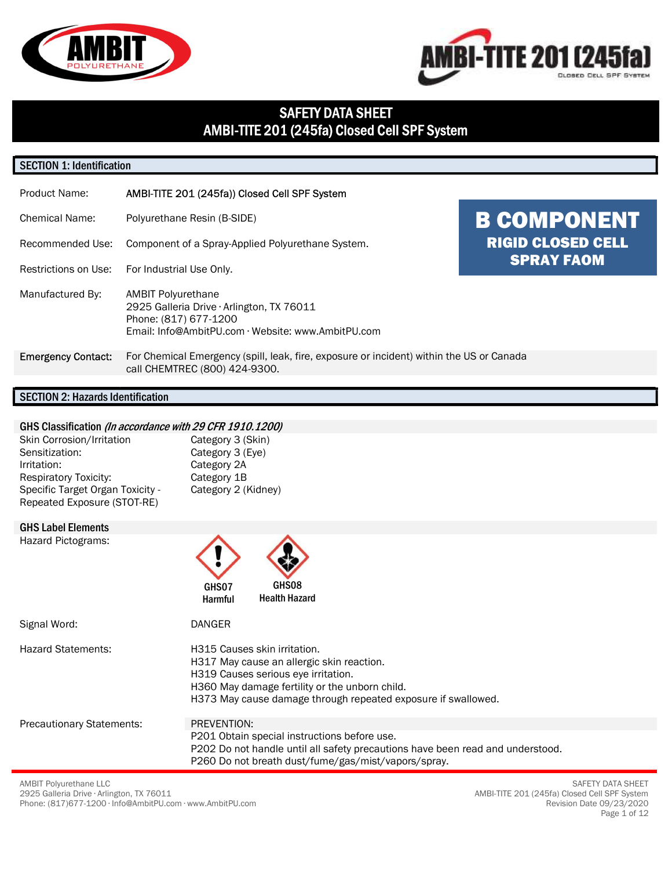



# SAFETY DATA SHEET AMBI-TITE 201 (245fa) Closed Cell SPF System

#### SECTION 1: Identification

| Product Name:                                                     | AMBI-TITE 201 (245fa)) Closed Cell SPF System                                                                                                         |                                                                     |
|-------------------------------------------------------------------|-------------------------------------------------------------------------------------------------------------------------------------------------------|---------------------------------------------------------------------|
| <b>Chemical Name:</b><br>Recommended Use:<br>Restrictions on Use: | Polyurethane Resin (B-SIDE)<br>Component of a Spray-Applied Polyurethane System.<br>For Industrial Use Only.                                          | <b>B COMPONENT</b><br><b>RIGID CLOSED CELL</b><br><b>SPRAY FAOM</b> |
| Manufactured By:                                                  | <b>AMBIT Polyurethane</b><br>2925 Galleria Drive · Arlington, TX 76011<br>Phone: (817) 677-1200<br>Email: Info@AmbitPU.com · Website: www.AmbitPU.com |                                                                     |
| <b>Emergency Contact:</b>                                         | For Chemical Emergency (spill, leak, fire, exposure or incident) within the US or Canada<br>call CHEMTREC (800) 424-9300.                             |                                                                     |
|                                                                   |                                                                                                                                                       |                                                                     |

#### SECTION 2: Hazards Identification

#### GHS Classification (In accordance with 29 CFR 1910.1200)

| Skin Corrosion/Irritation        | Category 3 (Skin)   |
|----------------------------------|---------------------|
| Sensitization:                   | Category 3 (Eye)    |
| Irritation:                      | Category 2A         |
| <b>Respiratory Toxicity:</b>     | Category 1B         |
| Specific Target Organ Toxicity - | Category 2 (Kidney) |
| Repeated Exposure (STOT-RE)      |                     |

#### GHS Label Elements

Hazard Pictograms:



| Signal Word:                     | <b>DANGER</b>                                                                                                                                                                                                                       |  |
|----------------------------------|-------------------------------------------------------------------------------------------------------------------------------------------------------------------------------------------------------------------------------------|--|
| <b>Hazard Statements:</b>        | H315 Causes skin irritation.<br>H317 May cause an allergic skin reaction.<br>H319 Causes serious eye irritation.<br>H360 May damage fertility or the unborn child.<br>H373 May cause damage through repeated exposure if swallowed. |  |
| <b>Precautionary Statements:</b> | PREVENTION:                                                                                                                                                                                                                         |  |
|                                  | P201 Obtain special instructions before use.<br>P202 Do not handle until all safety precautions have been read and understood.                                                                                                      |  |
|                                  | P260 Do not breath dust/fume/gas/mist/vapors/spray.                                                                                                                                                                                 |  |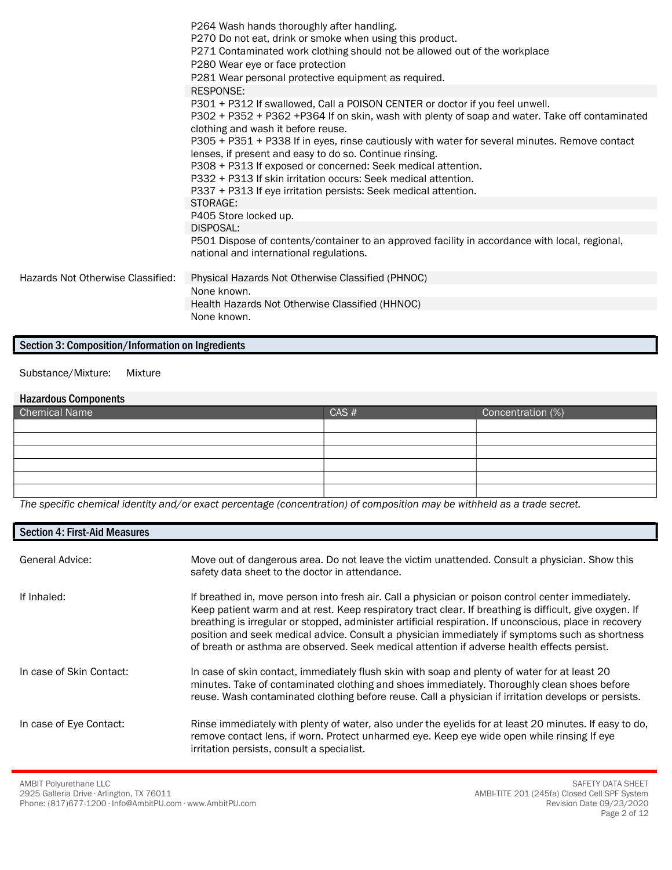|                                   | P264 Wash hands thoroughly after handling.<br>P270 Do not eat, drink or smoke when using this product.<br>P271 Contaminated work clothing should not be allowed out of the workplace<br>P280 Wear eye or face protection<br>P281 Wear personal protective equipment as required.                                                                                                                                                                                                                                                                                                       |
|-----------------------------------|----------------------------------------------------------------------------------------------------------------------------------------------------------------------------------------------------------------------------------------------------------------------------------------------------------------------------------------------------------------------------------------------------------------------------------------------------------------------------------------------------------------------------------------------------------------------------------------|
|                                   | <b>RESPONSE:</b>                                                                                                                                                                                                                                                                                                                                                                                                                                                                                                                                                                       |
|                                   | P301 + P312 If swallowed, Call a POISON CENTER or doctor if you feel unwell.<br>P302 + P352 + P362 +P364 If on skin, wash with plenty of soap and water. Take off contaminated<br>clothing and wash it before reuse.<br>P305 + P351 + P338 If in eyes, rinse cautiously with water for several minutes. Remove contact<br>lenses, if present and easy to do so. Continue rinsing.<br>P308 + P313 If exposed or concerned: Seek medical attention.<br>P332 + P313 If skin irritation occurs: Seek medical attention.<br>P337 + P313 If eye irritation persists: Seek medical attention. |
|                                   | STORAGE:                                                                                                                                                                                                                                                                                                                                                                                                                                                                                                                                                                               |
|                                   | P405 Store locked up.<br>DISPOSAL:                                                                                                                                                                                                                                                                                                                                                                                                                                                                                                                                                     |
|                                   | P501 Dispose of contents/container to an approved facility in accordance with local, regional,<br>national and international regulations.                                                                                                                                                                                                                                                                                                                                                                                                                                              |
| Hazards Not Otherwise Classified: | Physical Hazards Not Otherwise Classified (PHNOC)                                                                                                                                                                                                                                                                                                                                                                                                                                                                                                                                      |
|                                   | None known.                                                                                                                                                                                                                                                                                                                                                                                                                                                                                                                                                                            |
|                                   | Health Hazards Not Otherwise Classified (HHNOC)                                                                                                                                                                                                                                                                                                                                                                                                                                                                                                                                        |
|                                   | None known.                                                                                                                                                                                                                                                                                                                                                                                                                                                                                                                                                                            |

### Section 3: Composition/Information on Ingredients

Substance/Mixture: Mixture

# Hazardous Components Chemical Name Chemical Name CAS # Concentration (%)

The specific chemical identity and/or exact percentage (concentration) of composition may be withheld as a trade secret.

| <b>Section 4: First-Aid Measures</b> |                                                                                                                                                                                                                                                                                                                                                                                                                                                                                                                            |
|--------------------------------------|----------------------------------------------------------------------------------------------------------------------------------------------------------------------------------------------------------------------------------------------------------------------------------------------------------------------------------------------------------------------------------------------------------------------------------------------------------------------------------------------------------------------------|
| General Advice:                      | Move out of dangerous area. Do not leave the victim unattended. Consult a physician. Show this<br>safety data sheet to the doctor in attendance.                                                                                                                                                                                                                                                                                                                                                                           |
| If Inhaled:                          | If breathed in, move person into fresh air. Call a physician or poison control center immediately.<br>Keep patient warm and at rest. Keep respiratory tract clear. If breathing is difficult, give oxygen. If<br>breathing is irregular or stopped, administer artificial respiration. If unconscious, place in recovery<br>position and seek medical advice. Consult a physician immediately if symptoms such as shortness<br>of breath or asthma are observed. Seek medical attention if adverse health effects persist. |
| In case of Skin Contact:             | In case of skin contact, immediately flush skin with soap and plenty of water for at least 20<br>minutes. Take of contaminated clothing and shoes immediately. Thoroughly clean shoes before<br>reuse. Wash contaminated clothing before reuse. Call a physician if irritation develops or persists.                                                                                                                                                                                                                       |
| In case of Eye Contact:              | Rinse immediately with plenty of water, also under the eyelids for at least 20 minutes. If easy to do,<br>remove contact lens, if worn. Protect unharmed eye. Keep eye wide open while rinsing If eye<br>irritation persists, consult a specialist.                                                                                                                                                                                                                                                                        |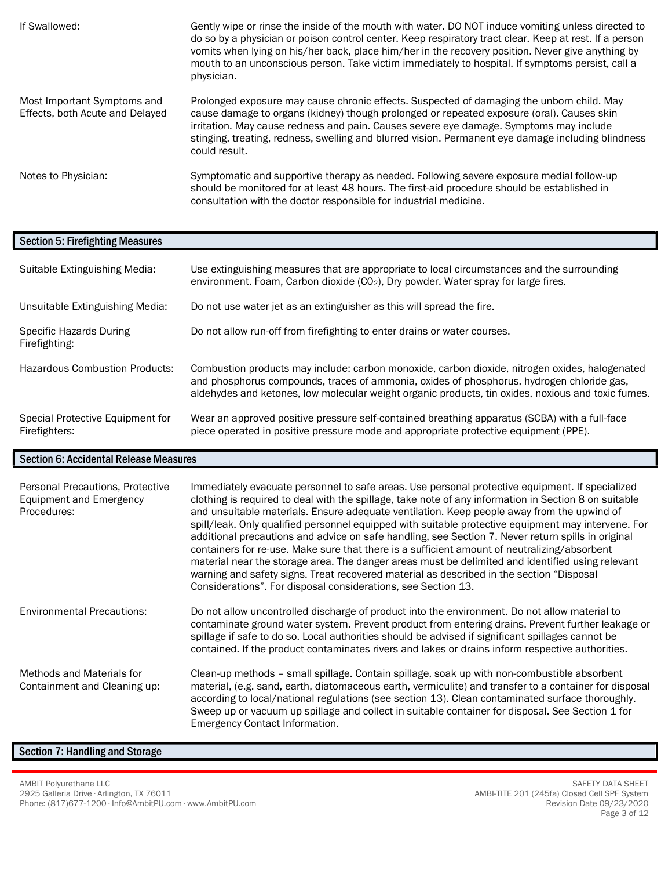| If Swallowed:                                                  | Gently wipe or rinse the inside of the mouth with water. DO NOT induce vomiting unless directed to<br>do so by a physician or poison control center. Keep respiratory tract clear. Keep at rest. If a person<br>vomits when lying on his/her back, place him/her in the recovery position. Never give anything by<br>mouth to an unconscious person. Take victim immediately to hospital. If symptoms persist, call a<br>physician. |
|----------------------------------------------------------------|-------------------------------------------------------------------------------------------------------------------------------------------------------------------------------------------------------------------------------------------------------------------------------------------------------------------------------------------------------------------------------------------------------------------------------------|
| Most Important Symptoms and<br>Effects, both Acute and Delayed | Prolonged exposure may cause chronic effects. Suspected of damaging the unborn child. May<br>cause damage to organs (kidney) though prolonged or repeated exposure (oral). Causes skin<br>irritation. May cause redness and pain. Causes severe eye damage. Symptoms may include<br>stinging, treating, redness, swelling and blurred vision. Permanent eye damage including blindness<br>could result.                             |
| Notes to Physician:                                            | Symptomatic and supportive therapy as needed. Following severe exposure medial follow-up<br>should be monitored for at least 48 hours. The first-aid procedure should be established in<br>consultation with the doctor responsible for industrial medicine.                                                                                                                                                                        |

#### Section 5: Firefighting Measures

| Suitable Extinguishing Media:                     | Use extinguishing measures that are appropriate to local circumstances and the surrounding<br>environment. Foam, Carbon dioxide (CO2), Dry powder. Water spray for large fires.                                                                                                                   |
|---------------------------------------------------|---------------------------------------------------------------------------------------------------------------------------------------------------------------------------------------------------------------------------------------------------------------------------------------------------|
| Unsuitable Extinguishing Media:                   | Do not use water jet as an extinguisher as this will spread the fire.                                                                                                                                                                                                                             |
| Specific Hazards During<br>Firefighting:          | Do not allow run-off from firefighting to enter drains or water courses.                                                                                                                                                                                                                          |
| <b>Hazardous Combustion Products:</b>             | Combustion products may include: carbon monoxide, carbon dioxide, nitrogen oxides, halogenated<br>and phosphorus compounds, traces of ammonia, oxides of phosphorus, hydrogen chloride gas,<br>aldehydes and ketones, low molecular weight organic products, tin oxides, noxious and toxic fumes. |
| Special Protective Equipment for<br>Firefighters: | Wear an approved positive pressure self-contained breathing apparatus (SCBA) with a full-face<br>piece operated in positive pressure mode and appropriate protective equipment (PPE).                                                                                                             |

#### Section 6: Accidental Release Measures

| Personal Precautions, Protective<br><b>Equipment and Emergency</b><br>Procedures: | Immediately evacuate personnel to safe areas. Use personal protective equipment. If specialized<br>clothing is required to deal with the spillage, take note of any information in Section 8 on suitable<br>and unsuitable materials. Ensure adequate ventilation. Keep people away from the upwind of<br>spill/leak. Only qualified personnel equipped with suitable protective equipment may intervene. For<br>additional precautions and advice on safe handling, see Section 7. Never return spills in original<br>containers for re-use. Make sure that there is a sufficient amount of neutralizing/absorbent<br>material near the storage area. The danger areas must be delimited and identified using relevant<br>warning and safety signs. Treat recovered material as described in the section "Disposal<br>Considerations". For disposal considerations, see Section 13. |
|-----------------------------------------------------------------------------------|--------------------------------------------------------------------------------------------------------------------------------------------------------------------------------------------------------------------------------------------------------------------------------------------------------------------------------------------------------------------------------------------------------------------------------------------------------------------------------------------------------------------------------------------------------------------------------------------------------------------------------------------------------------------------------------------------------------------------------------------------------------------------------------------------------------------------------------------------------------------------------------|
| <b>Environmental Precautions:</b>                                                 | Do not allow uncontrolled discharge of product into the environment. Do not allow material to<br>contaminate ground water system. Prevent product from entering drains. Prevent further leakage or<br>spillage if safe to do so. Local authorities should be advised if significant spillages cannot be<br>contained. If the product contaminates rivers and lakes or drains inform respective authorities.                                                                                                                                                                                                                                                                                                                                                                                                                                                                          |
| Methods and Materials for<br>Containment and Cleaning up:                         | Clean-up methods – small spillage. Contain spillage, soak up with non-combustible absorbent<br>material, (e.g. sand, earth, diatomaceous earth, vermiculite) and transfer to a container for disposal<br>according to local/national regulations (see section 13). Clean contaminated surface thoroughly.<br>Sweep up or vacuum up spillage and collect in suitable container for disposal. See Section 1 for<br>Emergency Contact Information.                                                                                                                                                                                                                                                                                                                                                                                                                                      |

### Section 7: Handling and Storage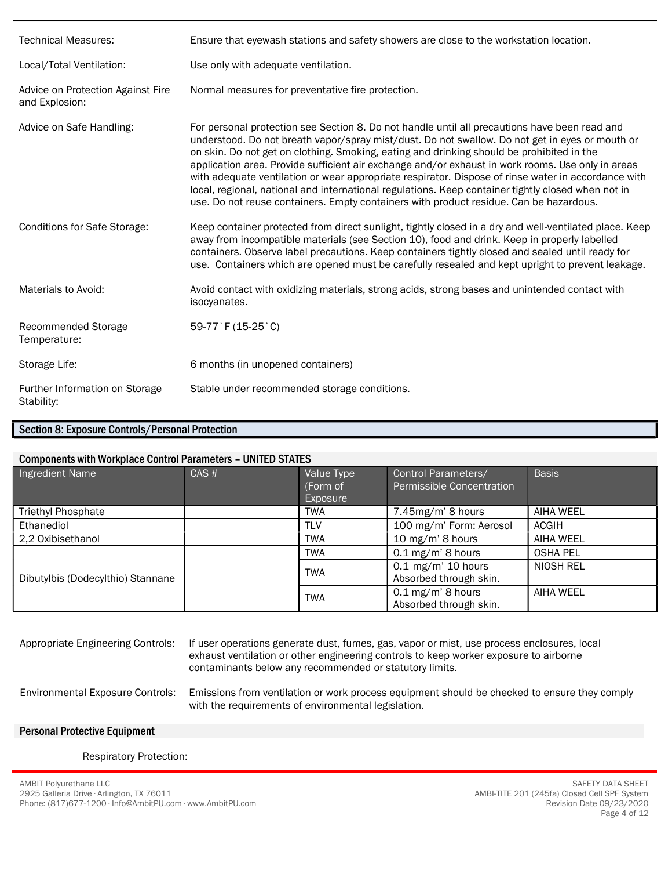| <b>Technical Measures:</b>                          | Ensure that eyewash stations and safety showers are close to the workstation location.                                                                                                                                                                                                                                                                                                                                                                                                                                                                                                                                                                                                                    |
|-----------------------------------------------------|-----------------------------------------------------------------------------------------------------------------------------------------------------------------------------------------------------------------------------------------------------------------------------------------------------------------------------------------------------------------------------------------------------------------------------------------------------------------------------------------------------------------------------------------------------------------------------------------------------------------------------------------------------------------------------------------------------------|
| Local/Total Ventilation:                            | Use only with adequate ventilation.                                                                                                                                                                                                                                                                                                                                                                                                                                                                                                                                                                                                                                                                       |
| Advice on Protection Against Fire<br>and Explosion: | Normal measures for preventative fire protection.                                                                                                                                                                                                                                                                                                                                                                                                                                                                                                                                                                                                                                                         |
| Advice on Safe Handling:                            | For personal protection see Section 8. Do not handle until all precautions have been read and<br>understood. Do not breath vapor/spray mist/dust. Do not swallow. Do not get in eyes or mouth or<br>on skin. Do not get on clothing. Smoking, eating and drinking should be prohibited in the<br>application area. Provide sufficient air exchange and/or exhaust in work rooms. Use only in areas<br>with adequate ventilation or wear appropriate respirator. Dispose of rinse water in accordance with<br>local, regional, national and international regulations. Keep container tightly closed when not in<br>use. Do not reuse containers. Empty containers with product residue. Can be hazardous. |
| <b>Conditions for Safe Storage:</b>                 | Keep container protected from direct sunlight, tightly closed in a dry and well-ventilated place. Keep<br>away from incompatible materials (see Section 10), food and drink. Keep in properly labelled<br>containers. Observe label precautions. Keep containers tightly closed and sealed until ready for<br>use. Containers which are opened must be carefully resealed and kept upright to prevent leakage.                                                                                                                                                                                                                                                                                            |
| Materials to Avoid:                                 | Avoid contact with oxidizing materials, strong acids, strong bases and unintended contact with<br>isocyanates.                                                                                                                                                                                                                                                                                                                                                                                                                                                                                                                                                                                            |
| Recommended Storage<br>Temperature:                 | 59-77°F (15-25°C)                                                                                                                                                                                                                                                                                                                                                                                                                                                                                                                                                                                                                                                                                         |
| Storage Life:                                       | 6 months (in unopened containers)                                                                                                                                                                                                                                                                                                                                                                                                                                                                                                                                                                                                                                                                         |
| Further Information on Storage<br>Stability:        | Stable under recommended storage conditions.                                                                                                                                                                                                                                                                                                                                                                                                                                                                                                                                                                                                                                                              |

#### Section 8: Exposure Controls/Personal Protection

#### Components with Workplace Control Parameters – UNITED STATES

| Ingredient Name                   | CAS# | Value Type<br>(Form of<br>Exposure | Control Parameters/<br>Permissible Concentration | <b>Basis</b>    |
|-----------------------------------|------|------------------------------------|--------------------------------------------------|-----------------|
| Triethyl Phosphate                |      | <b>TWA</b>                         | 7.45mg/m' 8 hours                                | AIHA WEEL       |
| Ethanediol                        |      | <b>TLV</b>                         | 100 mg/m' Form: Aerosol                          | <b>ACGIH</b>    |
| 2,2 Oxibisethanol                 |      | <b>TWA</b>                         | 10 mg/m' 8 hours                                 | AIHA WEEL       |
|                                   |      | <b>TWA</b>                         | $0.1$ mg/m' 8 hours                              | <b>OSHA PEL</b> |
| Dibutylbis (Dodecylthio) Stannane |      | <b>TWA</b>                         | $0.1$ mg/m' 10 hours<br>Absorbed through skin.   | NIOSH REL       |
|                                   |      | <b>TWA</b>                         | $0.1$ mg/m' 8 hours<br>Absorbed through skin.    | AIHA WEEL       |

| Appropriate Engineering Controls: | If user operations generate dust, fumes, gas, vapor or mist, use process enclosures, local |
|-----------------------------------|--------------------------------------------------------------------------------------------|
|                                   | exhaust ventilation or other engineering controls to keep worker exposure to airborne      |
|                                   | contaminants below any recommended or statutory limits.                                    |
|                                   |                                                                                            |

Environmental Exposure Controls: Emissions from ventilation or work process equipment should be checked to ensure they comply with the requirements of environmental legislation.

#### Personal Protective Equipment

#### Respiratory Protection: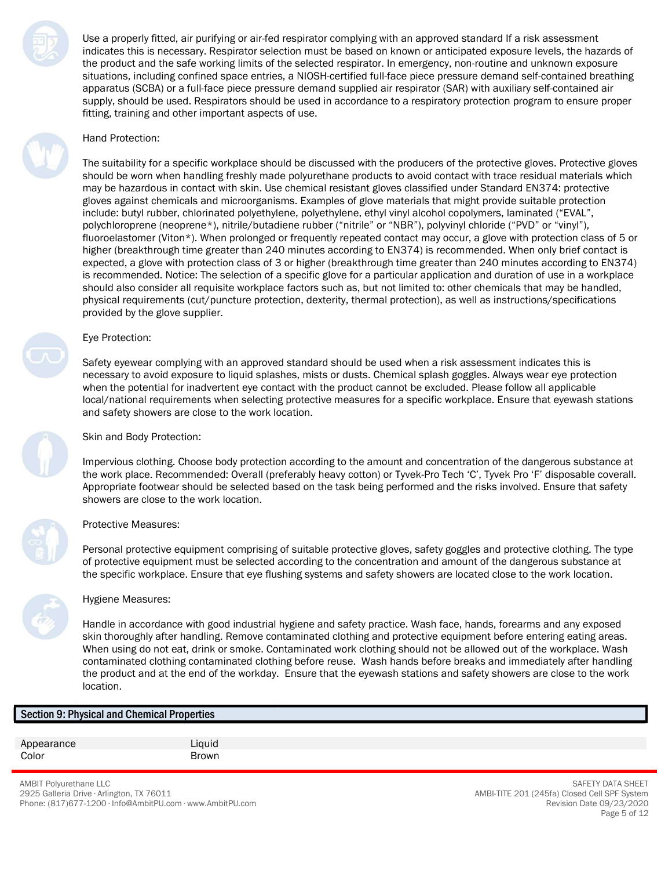Use a properly fitted, air purifying or air-fed respirator complying with an approved standard If a risk assessment indicates this is necessary. Respirator selection must be based on known or anticipated exposure levels, the hazards of the product and the safe working limits of the selected respirator. In emergency, non-routine and unknown exposure situations, including confined space entries, a NIOSH-certified full-face piece pressure demand self-contained breathing apparatus (SCBA) or a full-face piece pressure demand supplied air respirator (SAR) with auxiliary self-contained air supply, should be used. Respirators should be used in accordance to a respiratory protection program to ensure proper fitting, training and other important aspects of use.

#### Hand Protection:

The suitability for a specific workplace should be discussed with the producers of the protective gloves. Protective gloves should be worn when handling freshly made polyurethane products to avoid contact with trace residual materials which may be hazardous in contact with skin. Use chemical resistant gloves classified under Standard EN374: protective gloves against chemicals and microorganisms. Examples of glove materials that might provide suitable protection include: butyl rubber, chlorinated polyethylene, polyethylene, ethyl vinyl alcohol copolymers, laminated ("EVAL", polychloroprene (neoprene\*), nitrile/butadiene rubber ("nitrile" or "NBR"), polyvinyl chloride ("PVD" or "vinyl"), fluoroelastomer (Viton\*). When prolonged or frequently repeated contact may occur, a glove with protection class of 5 or higher (breakthrough time greater than 240 minutes according to EN374) is recommended. When only brief contact is expected, a glove with protection class of 3 or higher (breakthrough time greater than 240 minutes according to EN374) is recommended. Notice: The selection of a specific glove for a particular application and duration of use in a workplace should also consider all requisite workplace factors such as, but not limited to: other chemicals that may be handled, physical requirements (cut/puncture protection, dexterity, thermal protection), as well as instructions/specifications provided by the glove supplier.

#### Eye Protection:

Safety eyewear complying with an approved standard should be used when a risk assessment indicates this is necessary to avoid exposure to liquid splashes, mists or dusts. Chemical splash goggles. Always wear eye protection when the potential for inadvertent eye contact with the product cannot be excluded. Please follow all applicable local/national requirements when selecting protective measures for a specific workplace. Ensure that eyewash stations and safety showers are close to the work location.

#### Skin and Body Protection:

Impervious clothing. Choose body protection according to the amount and concentration of the dangerous substance at the work place. Recommended: Overall (preferably heavy cotton) or Tyvek-Pro Tech 'C', Tyvek Pro 'F' disposable coverall. Appropriate footwear should be selected based on the task being performed and the risks involved. Ensure that safety showers are close to the work location.

#### Protective Measures:

Personal protective equipment comprising of suitable protective gloves, safety goggles and protective clothing. The type of protective equipment must be selected according to the concentration and amount of the dangerous substance at the specific workplace. Ensure that eye flushing systems and safety showers are located close to the work location.



#### Hygiene Measures:

Handle in accordance with good industrial hygiene and safety practice. Wash face, hands, forearms and any exposed skin thoroughly after handling. Remove contaminated clothing and protective equipment before entering eating areas. When using do not eat, drink or smoke. Contaminated work clothing should not be allowed out of the workplace. Wash contaminated clothing contaminated clothing before reuse. Wash hands before breaks and immediately after handling the product and at the end of the workday. Ensure that the eyewash stations and safety showers are close to the work location.

#### Section 9: Physical and Chemical Properties

Appearance Liquid Color **Brown** 

AMBIT Polyurethane LLC 2925 Galleria Drive ∙ Arlington, TX 76011 Phone: (817)677-1200 ∙ Info@AmbitPU.com ∙ www.AmbitPU.com

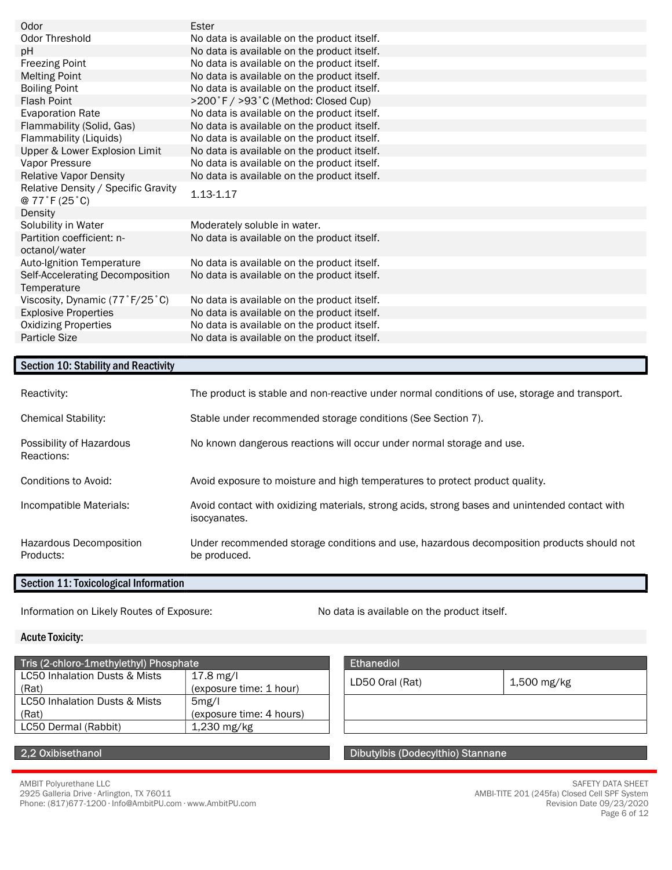| Odor                                                              | Ester                                       |
|-------------------------------------------------------------------|---------------------------------------------|
| Odor Threshold                                                    | No data is available on the product itself. |
| pH                                                                | No data is available on the product itself. |
| <b>Freezing Point</b>                                             | No data is available on the product itself. |
| <b>Melting Point</b>                                              | No data is available on the product itself. |
| <b>Boiling Point</b>                                              | No data is available on the product itself. |
| <b>Flash Point</b>                                                | >200°F / >93°C (Method: Closed Cup)         |
| <b>Evaporation Rate</b>                                           | No data is available on the product itself. |
| Flammability (Solid, Gas)                                         | No data is available on the product itself. |
| Flammability (Liquids)                                            | No data is available on the product itself. |
| Upper & Lower Explosion Limit                                     | No data is available on the product itself. |
| Vapor Pressure                                                    | No data is available on the product itself. |
| <b>Relative Vapor Density</b>                                     | No data is available on the product itself. |
| Relative Density / Specific Gravity<br>$@ 77$ $F(25$ $^{\circ}C)$ | 1.13-1.17                                   |
| Density                                                           |                                             |
| Solubility in Water                                               | Moderately soluble in water.                |
| Partition coefficient: n-<br>octanol/water                        | No data is available on the product itself. |
| Auto-Ignition Temperature                                         | No data is available on the product itself. |
| Self-Accelerating Decomposition<br>Temperature                    | No data is available on the product itself. |
| Viscosity, Dynamic (77°F/25°C)                                    | No data is available on the product itself. |
| <b>Explosive Properties</b>                                       | No data is available on the product itself. |
| <b>Oxidizing Properties</b>                                       | No data is available on the product itself. |
|                                                                   |                                             |

### Section 10: Stability and Reactivity

| Reactivity:                            | The product is stable and non-reactive under normal conditions of use, storage and transport.                  |
|----------------------------------------|----------------------------------------------------------------------------------------------------------------|
| <b>Chemical Stability:</b>             | Stable under recommended storage conditions (See Section 7).                                                   |
| Possibility of Hazardous<br>Reactions: | No known dangerous reactions will occur under normal storage and use.                                          |
| Conditions to Avoid:                   | Avoid exposure to moisture and high temperatures to protect product quality.                                   |
| Incompatible Materials:                | Avoid contact with oxidizing materials, strong acids, strong bases and unintended contact with<br>isocyanates. |
| Hazardous Decomposition<br>Products:   | Under recommended storage conditions and use, hazardous decomposition products should not<br>be produced.      |

#### Section 11: Toxicological Information

Information on Likely Routes of Exposure: No data is available on the product itself.

#### Acute Toxicity:

| Tris (2-chloro-1methylethyl) Phosphate |                          | <b>Ethanediol</b> |
|----------------------------------------|--------------------------|-------------------|
| LC50 Inhalation Dusts & Mists          | $17.8 \text{ mg/l}$      | LD50 Oral (       |
| (Rat)                                  | (exposure time: 1 hour)  |                   |
| LC50 Inhalation Dusts & Mists          | 5mg/l                    |                   |
| (Rat)                                  | (exposure time: 4 hours) |                   |
| LC50 Dermal (Rabbit)                   | $1,230 \; \text{mg/kg}$  |                   |
|                                        |                          |                   |

| te                                   | <b>Ethanediol</b> |             |
|--------------------------------------|-------------------|-------------|
| 17.8 mg/l<br>(exposure time: 1 hour) | LD50 Oral (Rat)   | 1,500 mg/kg |
| 5mg/l                                |                   |             |
| (exposure time: 4 hours)             |                   |             |
| 1,230 mg/kg                          |                   |             |

2,2 Oxibisethanol Dibutylbis (Dodecylthio) Stannane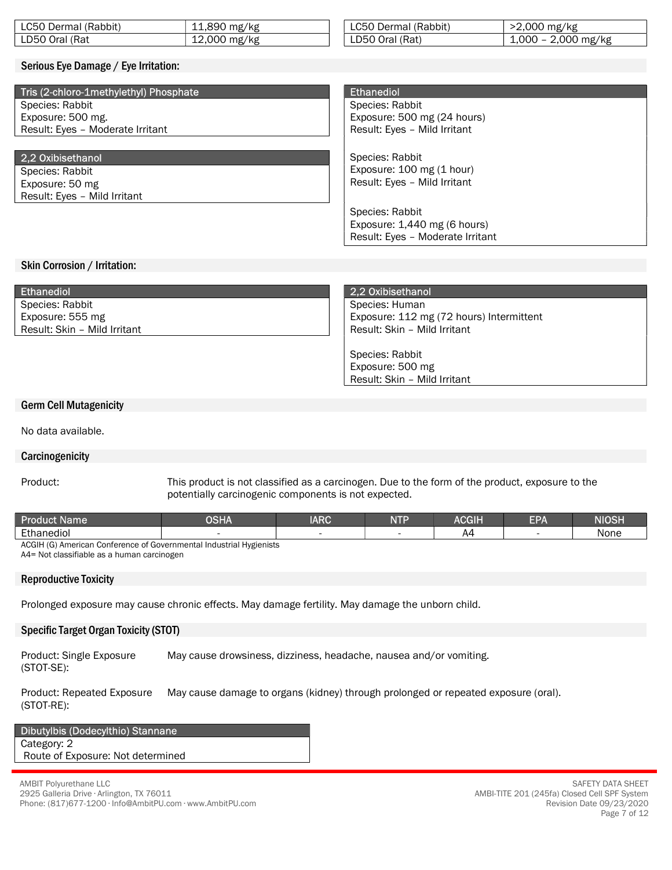| LC50 Dermal (Rabbit)                   | 11,890 mg/kg | LC50 Dermal (Rabbit)             | >2,000 mg/kg          |  |
|----------------------------------------|--------------|----------------------------------|-----------------------|--|
| LD50 Oral (Rat                         | 12,000 mg/kg | LD50 Oral (Rat)                  | $1,000 - 2,000$ mg/kg |  |
|                                        |              |                                  |                       |  |
| Serious Eye Damage / Eye Irritation:   |              |                                  |                       |  |
|                                        |              |                                  |                       |  |
| Tris (2-chloro-1methylethyl) Phosphate |              | <b>Ethanediol</b>                |                       |  |
| Species: Rabbit                        |              | Species: Rabbit                  |                       |  |
| Exposure: 500 mg.                      |              | Exposure: 500 mg (24 hours)      |                       |  |
| Result: Eyes - Moderate Irritant       |              | Result: Eyes - Mild Irritant     |                       |  |
|                                        |              |                                  |                       |  |
| 2,2 Oxibisethanol                      |              | Species: Rabbit                  |                       |  |
| Species: Rabbit                        |              | Exposure: 100 mg (1 hour)        |                       |  |
| Exposure: 50 mg                        |              | Result: Eyes - Mild Irritant     |                       |  |
| Result: Eyes - Mild Irritant           |              |                                  |                       |  |
|                                        |              | Species: Rabbit                  |                       |  |
|                                        |              | Exposure: $1,440$ mg (6 hours)   |                       |  |
|                                        |              | Result: Eyes - Moderate Irritant |                       |  |
|                                        |              |                                  |                       |  |
| Skin Corrosion / Irritation:           |              |                                  |                       |  |
|                                        |              |                                  |                       |  |

| <b>Ethanediol</b>            | 2.2 Oxibisethanol                        |
|------------------------------|------------------------------------------|
| Species: Rabbit              | Species: Human                           |
| Exposure: 555 mg             | Exposure: 112 mg (72 hours) Intermittent |
| Result: Skin - Mild Irritant | Result: Skin - Mild Irritant             |
|                              |                                          |
|                              | Species: Rabbit                          |

#### Germ Cell Mutagenicity

No data available.

#### **Carcinogenicity**

Product: This product is not classified as a carcinogen. Due to the form of the product, exposure to the potentially carcinogenic components is not expected.

Exposure: 500 mg Result: Skin – Mild Irritant

| $\cdot$ .<br>Ethanediol<br>None<br>44 | Product<br><b>Name</b> | DSHA | <b>IARC</b> | AND DE | $\overline{O}$<br>AUGIH | EPA | <b>NIOSH</b> |
|---------------------------------------|------------------------|------|-------------|--------|-------------------------|-----|--------------|
|                                       |                        |      |             |        |                         |     |              |

ACGIH (G) American Conference of Governmental Industrial Hygienists A4= Not classifiable as a human carcinogen

#### Reproductive Toxicity

Prolonged exposure may cause chronic effects. May damage fertility. May damage the unborn child.

#### Specific Target Organ Toxicity (STOT)

Product: Single Exposure (STOT-SE): May cause drowsiness, dizziness, headache, nausea and/or vomiting.

Product: Repeated Exposure (STOT-RE): May cause damage to organs (kidney) through prolonged or repeated exposure (oral).

#### Dibutylbis (Dodecylthio) Stannane Category: 2 Route of Exposure: Not determined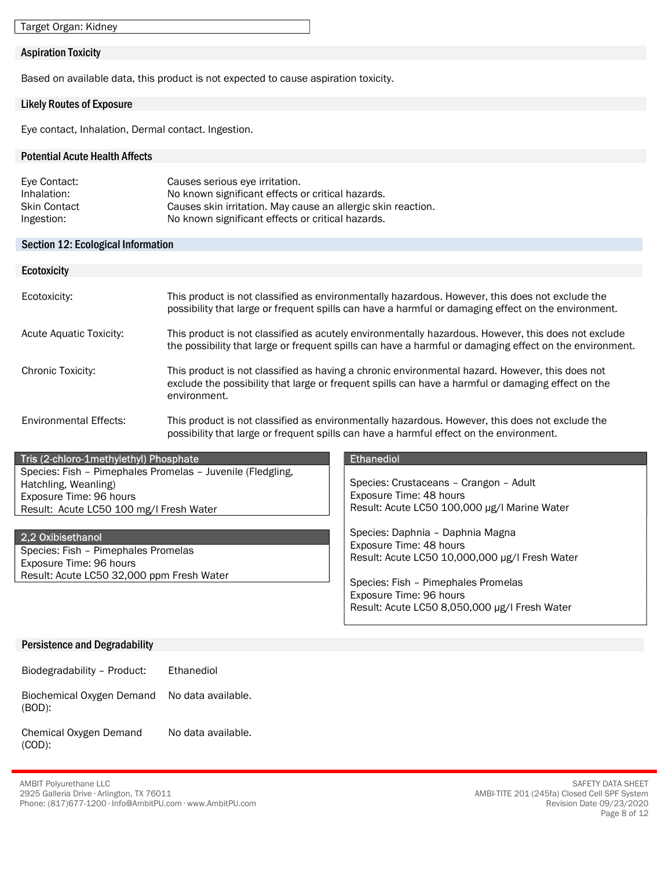Target Organ: Kidney

#### Aspiration Toxicity

Based on available data, this product is not expected to cause aspiration toxicity.

#### Likely Routes of Exposure

Eye contact, Inhalation, Dermal contact. Ingestion.

#### Potential Acute Health Affects

| Eye Contact:        | Causes serious eye irritation.                               |
|---------------------|--------------------------------------------------------------|
| Inhalation:         | No known significant effects or critical hazards.            |
| <b>Skin Contact</b> | Causes skin irritation. May cause an allergic skin reaction. |
| Ingestion:          | No known significant effects or critical hazards.            |

#### Section 12: Ecological Information

| <b>Ecotoxicity</b>            |                                                                                                                                                                                                                       |
|-------------------------------|-----------------------------------------------------------------------------------------------------------------------------------------------------------------------------------------------------------------------|
| Ecotoxicity:                  | This product is not classified as environmentally hazardous. However, this does not exclude the<br>possibility that large or frequent spills can have a harmful or damaging effect on the environment.                |
| Acute Aquatic Toxicity:       | This product is not classified as acutely environmentally hazardous. However, this does not exclude<br>the possibility that large or frequent spills can have a harmful or damaging effect on the environment.        |
| Chronic Toxicity:             | This product is not classified as having a chronic environmental hazard. However, this does not<br>exclude the possibility that large or frequent spills can have a harmful or damaging effect on the<br>environment. |
| <b>Environmental Effects:</b> | This product is not classified as environmentally hazardous. However, this does not exclude the<br>possibility that large or frequent spills can have a harmful effect on the environment.                            |

# Tris (2-chloro-1methylethyl) Phosphate Ethanediol Ethanediol

Species: Fish – Pimephales Promelas – Juvenile (Fledgling, Hatchling, Weanling) Exposure Time: 96 hours Result: Acute LC50 100 mg/l Fresh Water

#### 2,2 Oxibisethanol

Species: Fish – Pimephales Promelas Exposure Time: 96 hours Result: Acute LC50 32,000 ppm Fresh Water

Species: Crustaceans – Crangon – Adult Exposure Time: 48 hours Result: Acute LC50 100,000 μg/l Marine Water

Species: Daphnia – Daphnia Magna Exposure Time: 48 hours Result: Acute LC50 10,000,000 μg/l Fresh Water

Species: Fish – Pimephales Promelas Exposure Time: 96 hours Result: Acute LC50 8,050,000 μg/l Fresh Water

#### Persistence and Degradability

Biodegradability – Product: Ethanediol

Biochemical Oxygen Demand (BOD): No data available.

#### Chemical Oxygen Demand (COD): No data available.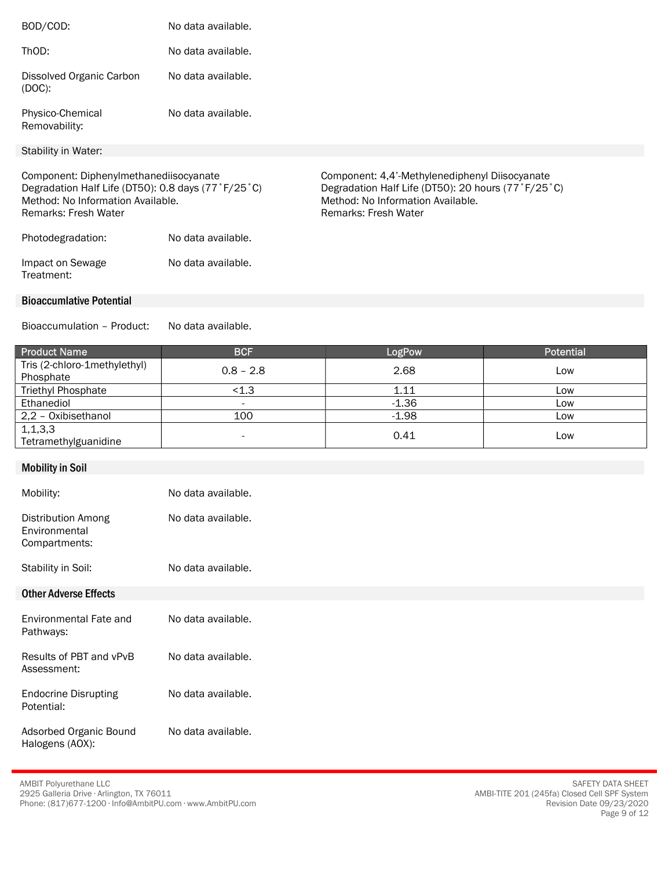| BOD/COD:                                                                                                                                                  | No data available. |                                                                                                                                                                          |
|-----------------------------------------------------------------------------------------------------------------------------------------------------------|--------------------|--------------------------------------------------------------------------------------------------------------------------------------------------------------------------|
| ThOD:                                                                                                                                                     | No data available. |                                                                                                                                                                          |
| Dissolved Organic Carbon<br>$(DOC)$ :                                                                                                                     | No data available. |                                                                                                                                                                          |
| Physico-Chemical<br>Removability:                                                                                                                         | No data available. |                                                                                                                                                                          |
| Stability in Water:                                                                                                                                       |                    |                                                                                                                                                                          |
| Component: Diphenylmethanediisocyanate<br>Degradation Half Life (DT50): 0.8 days (77°F/25°C)<br>Method: No Information Available.<br>Remarks: Fresh Water |                    | Component: 4,4'-Methylenediphenyl Diisocyanate<br>Degradation Half Life (DT50): 20 hours (77°F/25°C)<br>Method: No Information Available.<br><b>Remarks: Fresh Water</b> |
| Photodegradation:                                                                                                                                         | No data available. |                                                                                                                                                                          |
| Impact on Sewage<br>Treatment:                                                                                                                            | No data available. |                                                                                                                                                                          |
| <b>Bioaccumlative Potential</b>                                                                                                                           |                    |                                                                                                                                                                          |
| Bioaccumulation - Product:                                                                                                                                | No data available. |                                                                                                                                                                          |

| <b>Product Name</b>                       | <b>BCF</b>  | LogPow  | <b>Potential</b> |
|-------------------------------------------|-------------|---------|------------------|
| Tris (2-chloro-1methylethyl)<br>Phosphate | $0.8 - 2.8$ | 2.68    | Low              |
| <b>Triethyl Phosphate</b>                 | < 1.3       | 1.11    | Low              |
| Ethanediol                                | -           | $-1.36$ | Low              |
| 2,2 - Oxibisethanol                       | 100         | $-1.98$ | Low              |
| 1, 1, 3, 3<br>Tetramethylguanidine        | -           | 0.41    | Low              |

| <b>Mobility in Soil</b>                                     |                    |
|-------------------------------------------------------------|--------------------|
| Mobility:                                                   | No data available. |
| <b>Distribution Among</b><br>Environmental<br>Compartments: | No data available. |
| Stability in Soil:                                          | No data available. |
| <b>Other Adverse Effects</b>                                |                    |
| Environmental Fate and<br>Pathways:                         | No data available. |
| Results of PBT and vPvB<br>Assessment:                      | No data available. |
| <b>Endocrine Disrupting</b><br>Potential:                   | No data available. |
| Adsorbed Organic Bound<br>Halogens (AOX):                   | No data available. |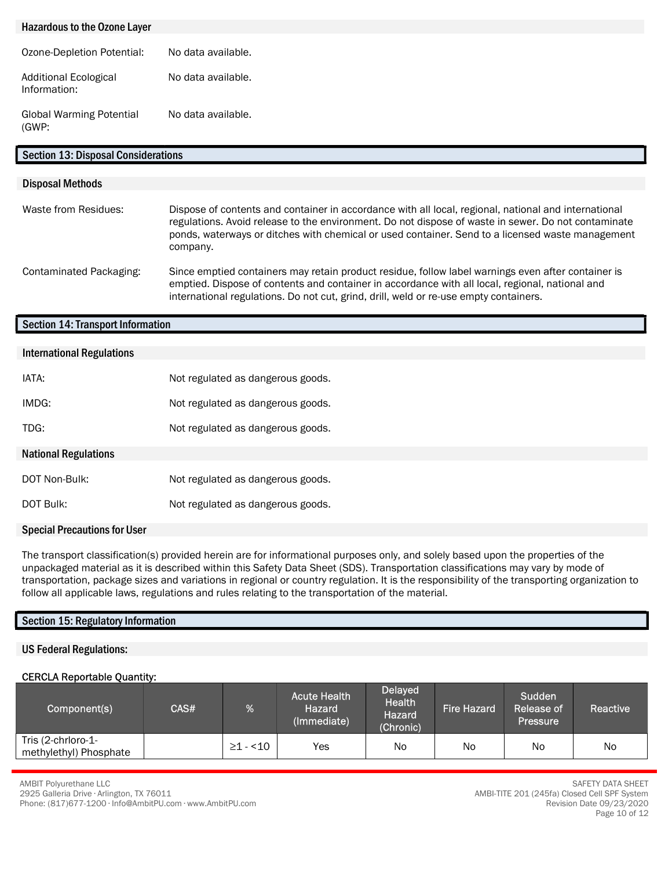## Hazardous to the Ozone Layer Ozone-Depletion Potential: No data available. Additional Ecological Information: No data available. Global Warming Potential (GWP: No data available. Section 13: Disposal Considerations

#### Disposal Methods

| Waste from Residues:    | Dispose of contents and container in accordance with all local, regional, national and international<br>regulations. Avoid release to the environment. Do not dispose of waste in sewer. Do not contaminate<br>ponds, waterways or ditches with chemical or used container. Send to a licensed waste management<br>company. |
|-------------------------|-----------------------------------------------------------------------------------------------------------------------------------------------------------------------------------------------------------------------------------------------------------------------------------------------------------------------------|
| Contaminated Packaging: | Since emptied containers may retain product residue, follow label warnings even after container is<br>emptied. Dispose of contents and container in accordance with all local, regional, national and<br>international regulations. Do not cut, grind, drill, weld or re-use empty containers.                              |

#### Section 14: Transport Information

| <b>International Regulations</b>    |                                   |
|-------------------------------------|-----------------------------------|
|                                     |                                   |
| IATA:                               | Not regulated as dangerous goods. |
|                                     |                                   |
| IMDG:                               | Not regulated as dangerous goods. |
|                                     |                                   |
| TDG:                                | Not regulated as dangerous goods. |
|                                     |                                   |
| <b>National Regulations</b>         |                                   |
|                                     |                                   |
| DOT Non-Bulk:                       | Not regulated as dangerous goods. |
|                                     |                                   |
| DOT Bulk:                           | Not regulated as dangerous goods. |
|                                     |                                   |
| <b>Special Precautions for User</b> |                                   |

The transport classification(s) provided herein are for informational purposes only, and solely based upon the properties of the unpackaged material as it is described within this Safety Data Sheet (SDS). Transportation classifications may vary by mode of transportation, package sizes and variations in regional or country regulation. It is the responsibility of the transporting organization to follow all applicable laws, regulations and rules relating to the transportation of the material.

## Section 15: Regulatory Information

#### US Federal Regulations:

## CERCLA Reportable Quantity:

| Component(s)                                 | CAS# | %              | <b>Acute Health</b><br><b>Hazard</b><br>(Immediate) | <b>Delayed</b><br><b>Health</b><br><b>Hazard</b><br>(Chronic) | <b>Fire Hazard</b> | Sudden<br><b>Release of</b><br><b>Pressure</b> | Reactive |
|----------------------------------------------|------|----------------|-----------------------------------------------------|---------------------------------------------------------------|--------------------|------------------------------------------------|----------|
| Tris (2-chrloro-1-<br>methylethyl) Phosphate |      | $\geq$ 1 - <10 | Yes                                                 | N <sub>o</sub>                                                | No                 | No                                             | No       |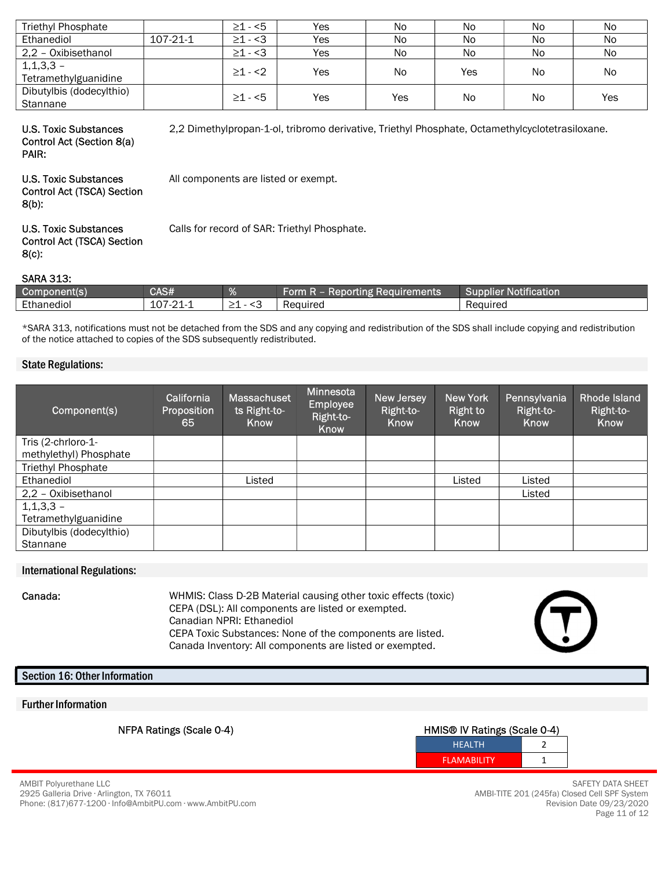| <b>Triethyl Phosphate</b>              |          | $\geq$ 1 - <5 | Yes | No  | No        | No | No             |
|----------------------------------------|----------|---------------|-----|-----|-----------|----|----------------|
| Ethanediol                             | 107-21-1 | $\geq 1 - 3$  | Yes | No  | No        | No | No             |
| 2,2 - Oxibisethanol                    |          | $\geq 1 - 3$  | Yes | No  | No        | No | N <sub>o</sub> |
| $1, 1, 3, 3 -$<br>Tetramethylguanidine |          | $\geq 1 - 2$  | Yes | No  | Yes       | No | No             |
| Dibutylbis (dodecylthio)<br>Stannane   |          | $\geq 1 - 5$  | Yes | Yes | <b>No</b> | No | Yes            |

# U.S. Toxic Substances Control Act (Section 8(a)

2,2 Dimethylpropan-1-ol, tribromo derivative, Triethyl Phosphate, Octamethylcyclotetrasiloxane.

# PAIR:

All components are listed or exempt.

#### U.S. Toxic Substances Control Act (TSCA) Section 8(b):

Calls for record of SAR: Triethyl Phosphate.

#### U.S. Toxic Substances Control Act (TSCA) Section 8(c):

#### SARA 313:

| 'Component(s) | <b>RAS#</b><br>シューカ                            | $\alpha$<br>46 T | Form<br>auirements<br>ung i<br>- Repor<br>.<br>11-1- | <b>TANK AND REAL</b><br><b>Notification</b><br><b>Supplier</b> |
|---------------|------------------------------------------------|------------------|------------------------------------------------------|----------------------------------------------------------------|
| Ethanediol    | $\overline{2}$<br>$\bigcap$<br>$101 - 7$<br>-- | __               | Required                                             | Reauired                                                       |

\*SARA 313, notifications must not be detached from the SDS and any copying and redistribution of the SDS shall include copying and redistribution of the notice attached to copies of the SDS subsequently redistributed.

#### State Regulations:

| Component(s)             | California<br>Proposition<br>65 | Massachuset<br>ts Right-to-<br>Know | Minnesota<br><b>Employee</b><br>Right-to-<br>Know | New Jersey<br>Right-to-<br>Know | New York<br><b>Right to</b><br>Know | Pennsylvania<br>Right-to-<br>Know | <b>Rhode Island</b><br>Right-to-<br>Know |
|--------------------------|---------------------------------|-------------------------------------|---------------------------------------------------|---------------------------------|-------------------------------------|-----------------------------------|------------------------------------------|
| Tris (2-chrloro-1-       |                                 |                                     |                                                   |                                 |                                     |                                   |                                          |
| methylethyl) Phosphate   |                                 |                                     |                                                   |                                 |                                     |                                   |                                          |
| Triethyl Phosphate       |                                 |                                     |                                                   |                                 |                                     |                                   |                                          |
| Ethanediol               |                                 | Listed                              |                                                   |                                 | Listed                              | Listed                            |                                          |
| 2,2 - Oxibisethanol      |                                 |                                     |                                                   |                                 |                                     | Listed                            |                                          |
| $1,1,3,3 -$              |                                 |                                     |                                                   |                                 |                                     |                                   |                                          |
| Tetramethylguanidine     |                                 |                                     |                                                   |                                 |                                     |                                   |                                          |
| Dibutylbis (dodecylthio) |                                 |                                     |                                                   |                                 |                                     |                                   |                                          |
| Stannane                 |                                 |                                     |                                                   |                                 |                                     |                                   |                                          |

#### International Regulations:

Canada: WHMIS: Class D-2B Material causing other toxic effects (toxic) CEPA (DSL): All components are listed or exempted. Canadian NPRI: Ethanediol CEPA Toxic Substances: None of the components are listed. Canada Inventory: All components are listed or exempted.

#### Section 16: Other Information

#### Further Information

## NFPA Ratings (Scale 0-4) **HMIS® IV Ratings (Scale 0-4)**  $\blacksquare$ HEALTH 2



SAFETY DATA SHEET AMBI-TITE 201 (245fa) Closed Cell SPF System Revision Date 09/23/2020 Page 11 of 12